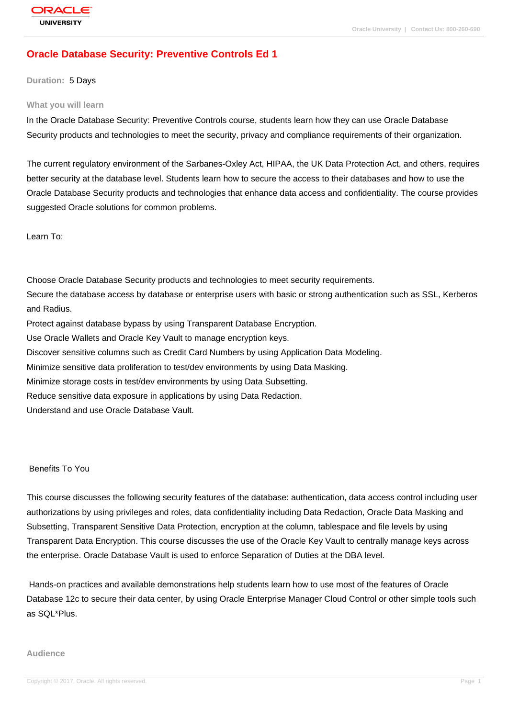# **[Oracle Databas](http://education.oracle.com/pls/web_prod-plq-dad/db_pages.getpage?page_id=3)e Security: Preventive Controls Ed 1**

**Duration:** 5 Days

#### **What you will learn**

In the Oracle Database Security: Preventive Controls course, students learn how they can use Oracle Database Security products and technologies to meet the security, privacy and compliance requirements of their organization.

The current regulatory environment of the Sarbanes-Oxley Act, HIPAA, the UK Data Protection Act, and others, requires better security at the database level. Students learn how to secure the access to their databases and how to use the Oracle Database Security products and technologies that enhance data access and confidentiality. The course provides suggested Oracle solutions for common problems.

Learn To:

Choose Oracle Database Security products and technologies to meet security requirements. Secure the database access by database or enterprise users with basic or strong authentication such as SSL, Kerberos and Radius. Protect against database bypass by using Transparent Database Encryption. Use Oracle Wallets and Oracle Key Vault to manage encryption keys. Discover sensitive columns such as Credit Card Numbers by using Application Data Modeling. Minimize sensitive data proliferation to test/dev environments by using Data Masking. Minimize storage costs in test/dev environments by using Data Subsetting. Reduce sensitive data exposure in applications by using Data Redaction. Understand and use Oracle Database Vault.

#### Benefits To You

This course discusses the following security features of the database: authentication, data access control including user authorizations by using privileges and roles, data confidentiality including Data Redaction, Oracle Data Masking and Subsetting, Transparent Sensitive Data Protection, encryption at the column, tablespace and file levels by using Transparent Data Encryption. This course discusses the use of the Oracle Key Vault to centrally manage keys across the enterprise. Oracle Database Vault is used to enforce Separation of Duties at the DBA level.

 Hands-on practices and available demonstrations help students learn how to use most of the features of Oracle Database 12c to secure their data center, by using Oracle Enterprise Manager Cloud Control or other simple tools such as SQL\*Plus.

#### **Audience**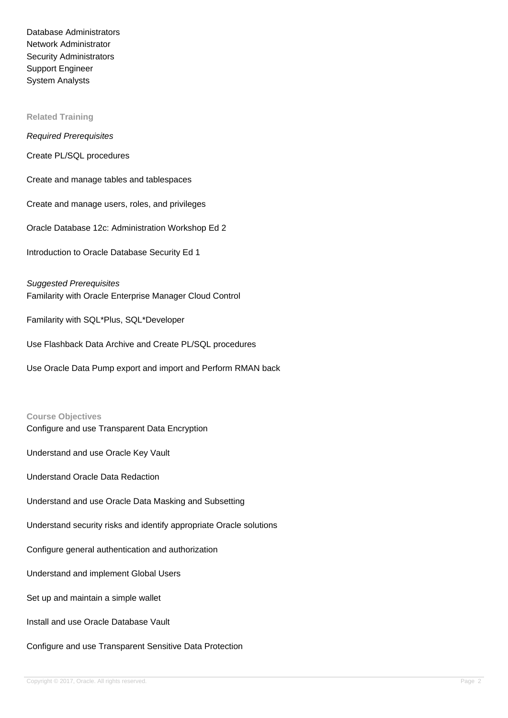Database Administrators Network Administrator Security Administrators Support Engineer System Analysts

#### **Related Training**

Required Prerequisites

Create PL/SQL procedures

Create and manage tables and tablespaces

Create and manage users, roles, and privileges

Oracle Database 12c: Administration Workshop Ed 2

Introduction to Oracle Database Security Ed 1

Suggested Prerequisites Familarity with Oracle Enterprise Manager Cloud Control

Familarity with SQL\*Plus, SQL\*Developer

Use Flashback Data Archive and Create PL/SQL procedures

Use Oracle Data Pump export and import and Perform RMAN back

#### **Course Objectives**

Configure and use Transparent Data Encryption

Understand and use Oracle Key Vault

Understand Oracle Data Redaction

Understand and use Oracle Data Masking and Subsetting

Understand security risks and identify appropriate Oracle solutions

Configure general authentication and authorization

Understand and implement Global Users

Set up and maintain a simple wallet

Install and use Oracle Database Vault

Configure and use Transparent Sensitive Data Protection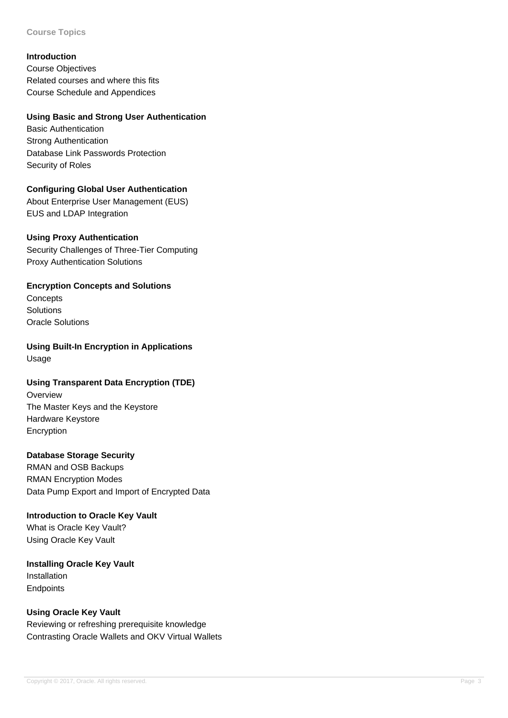#### **Course Topics**

#### **Introduction**

Course Objectives Related courses and where this fits Course Schedule and Appendices

#### **Using Basic and Strong User Authentication**

Basic Authentication Strong Authentication Database Link Passwords Protection Security of Roles

## **Configuring Global User Authentication**

About Enterprise User Management (EUS) EUS and LDAP Integration

## **Using Proxy Authentication**

Security Challenges of Three-Tier Computing Proxy Authentication Solutions

# **Encryption Concepts and Solutions**

**Concepts** Solutions Oracle Solutions

**Using Built-In Encryption in Applications** Usage

## **Using Transparent Data Encryption (TDE)**

**Overview** The Master Keys and the Keystore Hardware Keystore Encryption

## **Database Storage Security**

RMAN and OSB Backups RMAN Encryption Modes Data Pump Export and Import of Encrypted Data

## **Introduction to Oracle Key Vault**

What is Oracle Key Vault? Using Oracle Key Vault

#### **Installing Oracle Key Vault** Installation **Endpoints**

**Using Oracle Key Vault**

Reviewing or refreshing prerequisite knowledge Contrasting Oracle Wallets and OKV Virtual Wallets